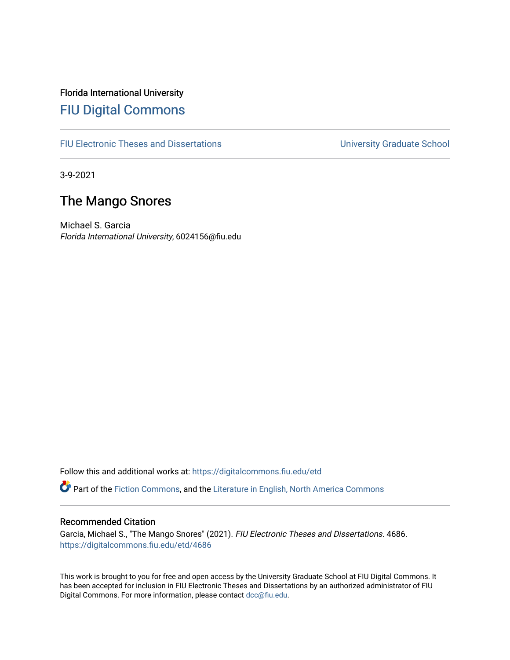Florida International University [FIU Digital Commons](https://digitalcommons.fiu.edu/)

[FIU Electronic Theses and Dissertations](https://digitalcommons.fiu.edu/etd) **EXECUTE:** University Graduate School

3-9-2021

# The Mango Snores

Michael S. Garcia Florida International University, 6024156@fiu.edu

Follow this and additional works at: [https://digitalcommons.fiu.edu/etd](https://digitalcommons.fiu.edu/etd?utm_source=digitalcommons.fiu.edu%2Fetd%2F4686&utm_medium=PDF&utm_campaign=PDFCoverPages)

Part of the [Fiction Commons,](https://network.bepress.com/hgg/discipline/1151?utm_source=digitalcommons.fiu.edu%2Fetd%2F4686&utm_medium=PDF&utm_campaign=PDFCoverPages) and the [Literature in English, North America Commons](https://network.bepress.com/hgg/discipline/458?utm_source=digitalcommons.fiu.edu%2Fetd%2F4686&utm_medium=PDF&utm_campaign=PDFCoverPages)

#### Recommended Citation

Garcia, Michael S., "The Mango Snores" (2021). FIU Electronic Theses and Dissertations. 4686. [https://digitalcommons.fiu.edu/etd/4686](https://digitalcommons.fiu.edu/etd/4686?utm_source=digitalcommons.fiu.edu%2Fetd%2F4686&utm_medium=PDF&utm_campaign=PDFCoverPages) 

This work is brought to you for free and open access by the University Graduate School at FIU Digital Commons. It has been accepted for inclusion in FIU Electronic Theses and Dissertations by an authorized administrator of FIU Digital Commons. For more information, please contact [dcc@fiu.edu](mailto:dcc@fiu.edu).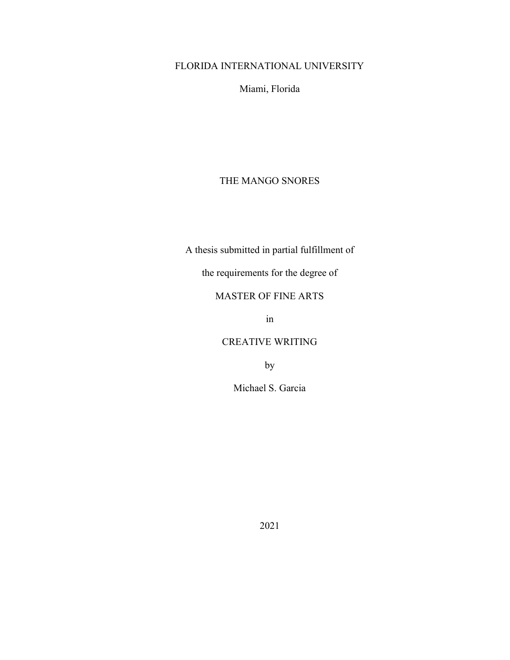## FLORIDA INTERNATIONAL UNIVERSITY

Miami, Florida

## THE MANGO SNORES

A thesis submitted in partial fulfillment of

the requirements for the degree of

## MASTER OF FINE ARTS

in

## CREATIVE WRITING

by

Michael S. Garcia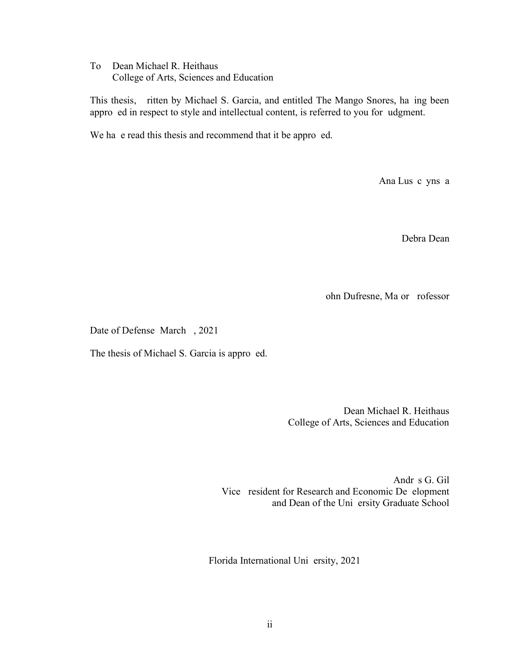To: Dean Michael R. Heithaus College of Arts, Sciences and Education

This thesis, ritten by Michael S. Garcia, and entitled The Mango Snores, ha ing been approved in respect to style and intellectual content, is referred to you for udgment.

We have read this thesis and recommend that it be approved.

Ana Lus c yns a

Debra Dean

ohn Dufresne, Ma or rofessor

Date of Defense March, 2021

The thesis of Michael S. Garcia is approed.

 Dean Michael R. Heithaus College of Arts, Sciences and Education

Andr s G. Gil Vice resident for Research and Economic De elopment and Dean of the Uni ersity Graduate School

Florida International Uni ersity, 2021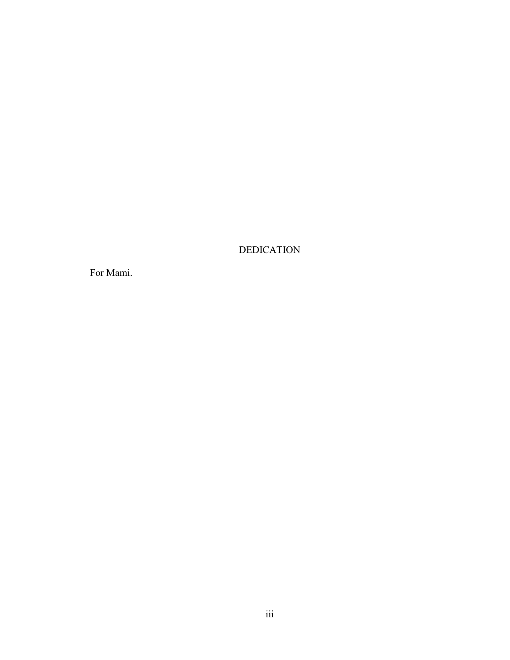**DEDICATION** 

For Mami.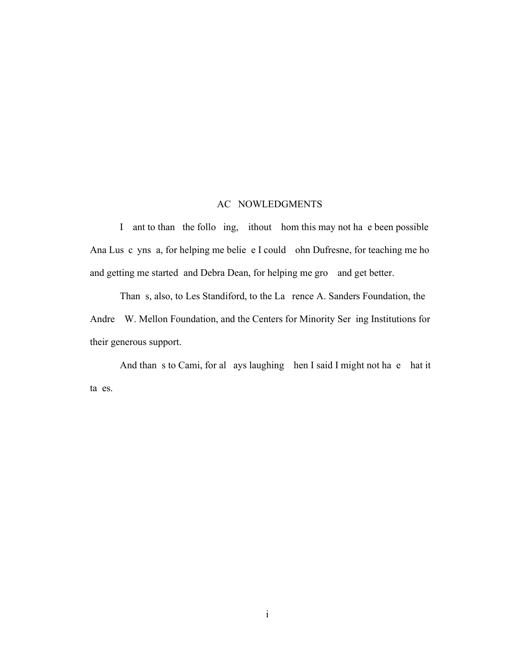### AC NOWLEDGMENTS

I ant to than the follo ing, ithout hom this may not have been possible Ana Lus c yns a, for helping me belie e I could ohn Dufresne, for teaching me ho and getting me started and Debra Dean, for helping me grow and get better.

Than s, also, to Les Standiford, to the La rence A. Sanders Foundation, the Andre W. Mellon Foundation, and the Centers for Minority Serving Institutions for their generous support.

And than s to Cami, for always laughing hen I said I might not have hat it ta es.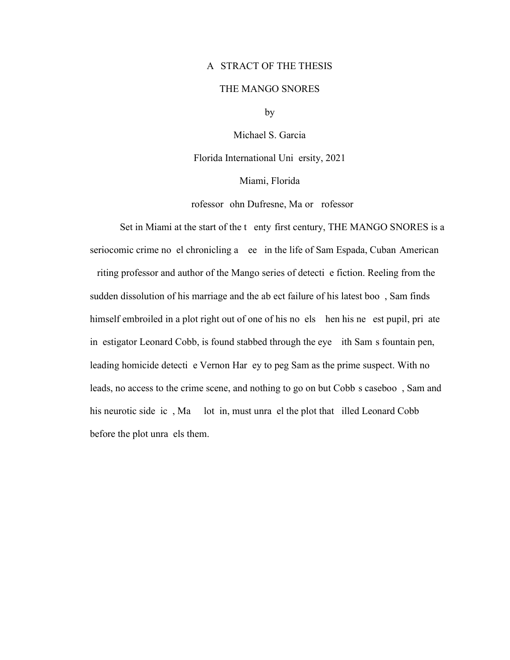### A STRACT OF THE THESIS

#### THE MANGO SNORES

by

Michael S. Garcia

Florida International Uni ersity, 2021

Miami, Florida

rofessor ohn Dufresne, Major Professor

Set in Miami at the start of the tenty-first century, THE MANGO SNORES is a seriocomic crime novel chronicling a ee in the life of Sam Espada, Cuban-American riting professor and author of the Mango series of detective fiction. Reeling from the sudden dissolution of his marriage and the abject failure of his latest boo, Sam finds himself embroiled in a plot right out of one of his novels hen his newest pupil, private in estigator Leonard Cobb, is found stabbed through the eye ith Sam's fountain pen, leading homicide detecti e Vernon Har ey to peg Sam as the prime suspect. With no leads, no access to the crime scene, and nothing to go on but Cobb s caseboo, Sam and his neurotic side ic, Ma lot in, must unravel the plot that illed Leonard Cobb before the plot unra els them.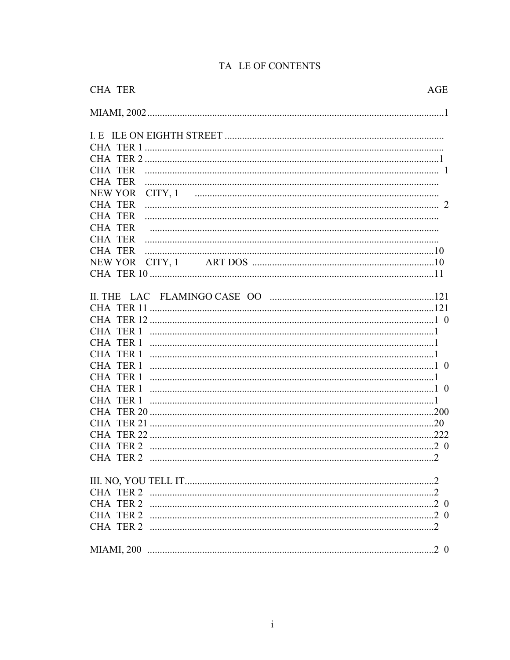| <b>CHA TER</b><br>AGE     |  |
|---------------------------|--|
|                           |  |
|                           |  |
|                           |  |
|                           |  |
|                           |  |
| <b>CHA TER</b>            |  |
| NEW YOR<br>CITY, 1        |  |
| <b>CHA TER</b>            |  |
| <b>CHA TER</b>            |  |
| <b>CHA TER</b>            |  |
| <b>CHA TER</b>            |  |
| <b>CHA TER</b>            |  |
| <b>NEW YOR</b><br>CITY, 1 |  |
|                           |  |
|                           |  |
|                           |  |
|                           |  |
|                           |  |
|                           |  |
|                           |  |
|                           |  |
|                           |  |
|                           |  |
|                           |  |
|                           |  |
|                           |  |
|                           |  |
|                           |  |
|                           |  |
| CHA TER 2                 |  |
|                           |  |
|                           |  |
|                           |  |
|                           |  |
|                           |  |
|                           |  |
|                           |  |
|                           |  |

## TA LE OF CONTENTS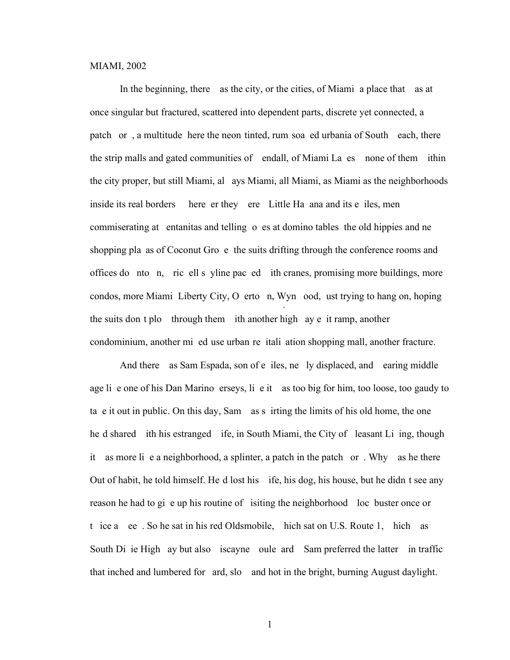#### MIAMI, 2002

In the beginning, there as the city, or the cities, of Miami: a place that as at once singular but fractured, scattered into dependent parts, discrete yet connected, a patch or, a multitude here the neon-tinted, rum-soal ed urbania of South each, there the strip malls and gated communities of endall, of Miami La es none of them ithin the city proper, but still Miami, alays Miami, all Miami, as Miami as the neighborhoods inside its real borders (where er they ere). Little Havana and its e iles, men commiserating at entanitas and telling o es at domino tables; the old hippies and ne shopping pla as of Coconut Gro e the suits drifting through the conference rooms and offices do nto n, ric ell s yline paced ith cranes, promising more buildings, more condos, more Miami; Liberty City, O erto n, Wyn ood, ust trying to hang on, hoping the suits don't plot through them ith another high ay e it ramp, another condominium, another mi ed use urban re itali ation shopping mall, another fracture.

And there as Sam Espada, son of e iles, ne ly displaced, and earing middle age lie one of his Dan Marino erseys, lie it as too big for him, too loose, too gaudy to take it out in public. On this day, Sam as a irting the limits of his old home, the one he d shared ith his estranged ife, in South Miami, the City of leasant Li ing, though it as more lie a neighborhood, a splinter, a patch in the patch or . Why as he there Out of habit, he told himself. He d lost his ife, his dog, his house, but he didn't see any reason he had to give up his routine of isiting the neighborhood loc buster once or t ice a ee. So he sat in his red Oldsmobile, hich sat on U.S. Route 1, hich as South Di ie High ay but also iscayne oule ard Sam preferred the latter in traffic that inched and lumbered for ard, slow and hot in the bright, burning August daylight.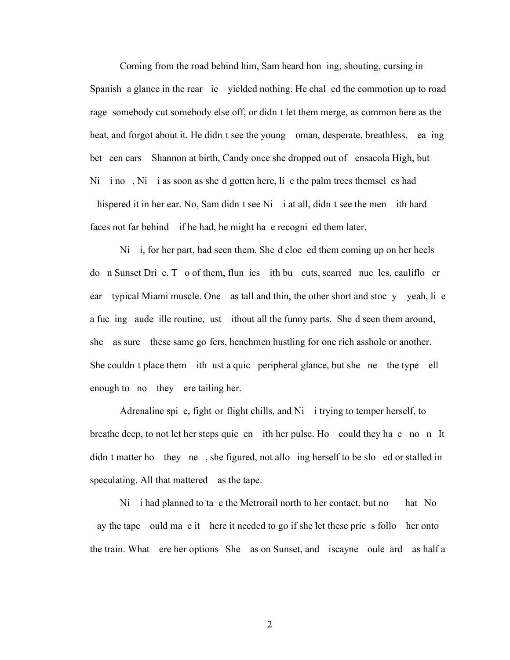Coming from the road behind him, Sam heard hon ing, shouting, cursing in Spanish a glance in the rear ie yielded nothing. He chal ed the commotion up to road rage somebody cut somebody else off, or didn t let them merge, as common here as the heat, and forgot about it. He didn t see the young oman, desperate, breathless, ea ing bet een cars Shannon at birth, Candy once she dropped out of ensacola High, but Ni i no, Ni i as soon as she d gotten here, lie the palm trees themsel es had hispered it in her ear. No, Sam didn  $t$  see Ni i at all, didn  $t$  see the men ith hard faces not far behind if he had, he might have recognized them later.

 $Ni$  i, for her part, had seen them. She'd cloce d them coming up on her heels do n Sunset Dri e. To of them, flun ies ith bu cuts, scarred nucles, caulifloer ear—typical Miami muscle. One as tall and thin, the other short and stoc y—yeah, li e a fucing vaude ille routine, ust it is thout all the funny parts. She'd seen them around, she—as sure—these same go-fers, henchmen hustling for one rich asshole or another. She couldn't place them ith ust a quick peripheral glance, but she is the type ell enough to no they ere tailing her.

Adrenaline spie, fight or flight chills, and Ni i trying to temper herself, to breathe deep, to not let her steps quic en ith her pulse. How could they have no n It didn t matter how they ne, she figured, not allowing herself to be slowed or stalled in speculating. All that mattered as the tape.

 $Ni$  i had planned to ta e the Metrorail north to her contact, but no hat No ay the tape ould make it here it needed to go if she let these pricks follow her onto the train. What ere her options She as on Sunset, and iscayne oule ard as half a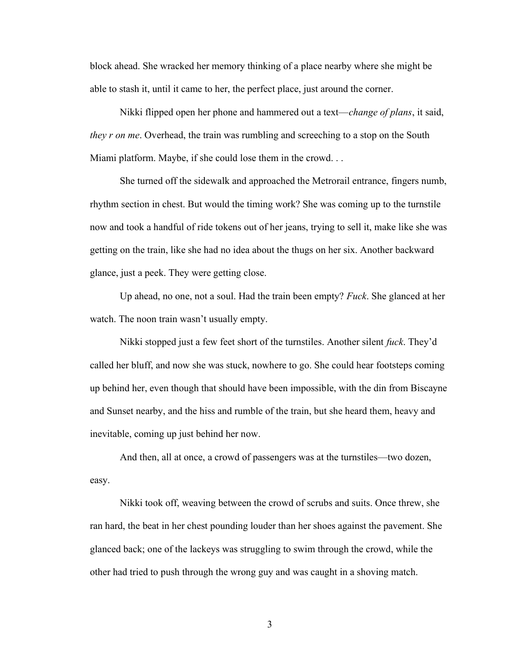block ahead. She wracked her memory thinking of a place nearby where she might be able to stash it, until it came to her, the perfect place, just around the corner.

Nikki flipped open her phone and hammered out a text—*change of plans*, it said, they r on me. Overhead, the train was rumbling and screeching to a stop on the South Miami platform. Maybe, if she could lose them in the crowd. . .

She turned off the sidewalk and approached the Metrorail entrance, fingers numb, rhythm section in chest. But would the timing work? She was coming up to the turnstile now and took a handful of ride tokens out of her jeans, trying to sell it, make like she was getting on the train, like she had no idea about the thugs on her six. Another backward glance, just a peek. They were getting close.

Up ahead, no one, not a soul. Had the train been empty? Fuck. She glanced at her watch. The noon train wasn't usually empty.

Nikki stopped just a few feet short of the turnstiles. Another silent fuck. They'd called her bluff, and now she was stuck, nowhere to go. She could hear footsteps coming up behind her, even though that should have been impossible, with the din from Biscayne and Sunset nearby, and the hiss and rumble of the train, but she heard them, heavy and inevitable, coming up just behind her now.

And then, all at once, a crowd of passengers was at the turnstiles—two dozen, easy.

Nikki took off, weaving between the crowd of scrubs and suits. Once threw, she ran hard, the beat in her chest pounding louder than her shoes against the pavement. She glanced back; one of the lackeys was struggling to swim through the crowd, while the other had tried to push through the wrong guy and was caught in a shoving match.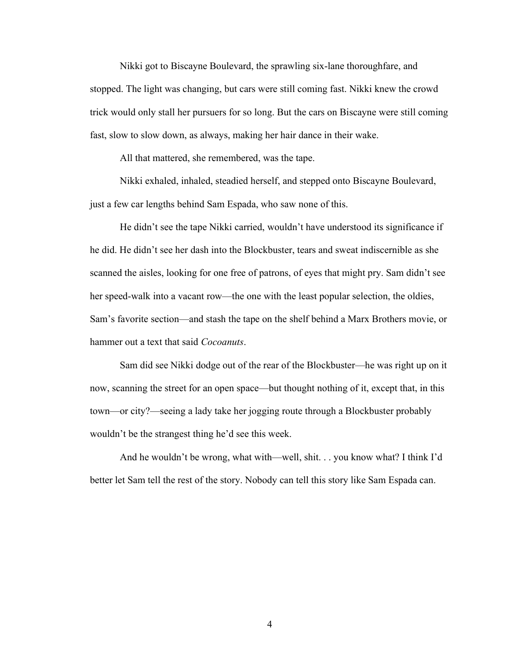Nikki got to Biscayne Boulevard, the sprawling six-lane thoroughfare, and stopped. The light was changing, but cars were still coming fast. Nikki knew the crowd trick would only stall her pursuers for so long. But the cars on Biscayne were still coming fast, slow to slow down, as always, making her hair dance in their wake.

All that mattered, she remembered, was the tape.

Nikki exhaled, inhaled, steadied herself, and stepped onto Biscayne Boulevard, just a few car lengths behind Sam Espada, who saw none of this.

He didn't see the tape Nikki carried, wouldn't have understood its significance if he did. He didn't see her dash into the Blockbuster, tears and sweat indiscernible as she scanned the aisles, looking for one free of patrons, of eyes that might pry. Sam didn't see her speed-walk into a vacant row—the one with the least popular selection, the oldies, Sam's favorite section—and stash the tape on the shelf behind a Marx Brothers movie, or hammer out a text that said *Cocoanuts*.

Sam did see Nikki dodge out of the rear of the Blockbuster—he was right up on it now, scanning the street for an open space—but thought nothing of it, except that, in this town—or city?—seeing a lady take her jogging route through a Blockbuster probably wouldn't be the strangest thing he'd see this week.

And he wouldn't be wrong, what with—well, shit. . . you know what? I think I'd better let Sam tell the rest of the story. Nobody can tell this story like Sam Espada can.